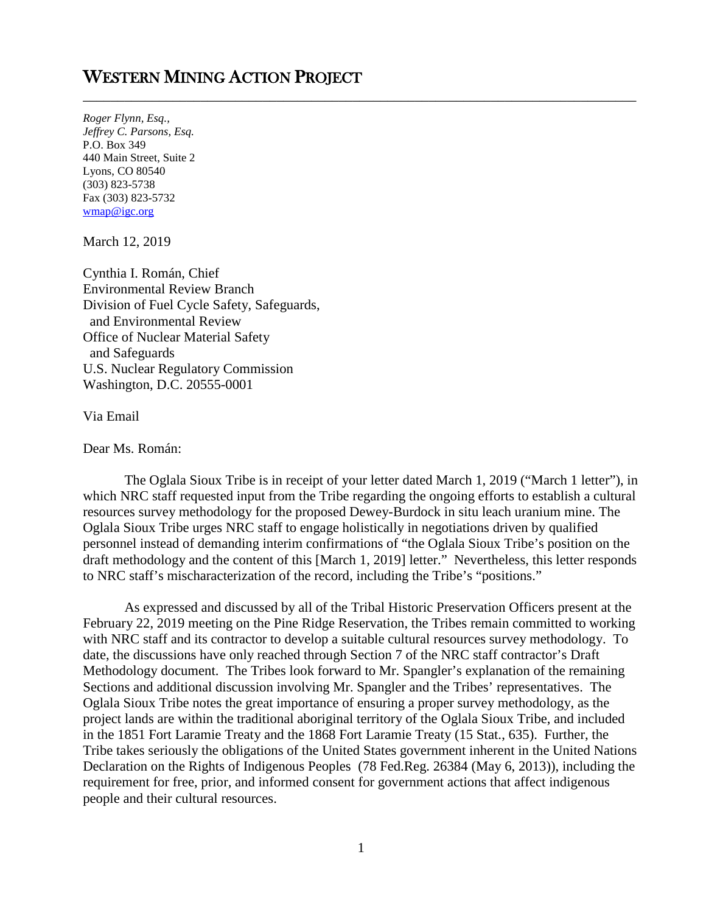## WESTERN MINING ACTION PROJECT

*Roger Flynn, Esq., Jeffrey C. Parsons, Esq.*  P.O. Box 349 440 Main Street, Suite 2 Lyons, CO 80540 (303) 823-5738 Fax (303) 823-5732 [wmap@igc.org](mailto:wmap@igc.org)

March 12, 2019

Cynthia I. Román, Chief Environmental Review Branch Division of Fuel Cycle Safety, Safeguards, and Environmental Review Office of Nuclear Material Safety and Safeguards U.S. Nuclear Regulatory Commission Washington, D.C. 20555-0001

Via Email

Dear Ms. Román:

The Oglala Sioux Tribe is in receipt of your letter dated March 1, 2019 ("March 1 letter"), in which NRC staff requested input from the Tribe regarding the ongoing efforts to establish a cultural resources survey methodology for the proposed Dewey-Burdock in situ leach uranium mine. The Oglala Sioux Tribe urges NRC staff to engage holistically in negotiations driven by qualified personnel instead of demanding interim confirmations of "the Oglala Sioux Tribe's position on the draft methodology and the content of this [March 1, 2019] letter." Nevertheless, this letter responds to NRC staff's mischaracterization of the record, including the Tribe's "positions."

\_\_\_\_\_\_\_\_\_\_\_\_\_\_\_\_\_\_\_\_\_\_\_\_\_\_\_\_\_\_\_\_\_\_\_\_\_\_\_\_\_\_\_\_\_\_\_\_\_\_\_\_\_\_\_\_\_\_\_\_\_\_\_\_\_\_\_\_\_\_\_\_\_\_\_\_\_\_\_\_

As expressed and discussed by all of the Tribal Historic Preservation Officers present at the February 22, 2019 meeting on the Pine Ridge Reservation, the Tribes remain committed to working with NRC staff and its contractor to develop a suitable cultural resources survey methodology. To date, the discussions have only reached through Section 7 of the NRC staff contractor's Draft Methodology document. The Tribes look forward to Mr. Spangler's explanation of the remaining Sections and additional discussion involving Mr. Spangler and the Tribes' representatives. The Oglala Sioux Tribe notes the great importance of ensuring a proper survey methodology, as the project lands are within the traditional aboriginal territory of the Oglala Sioux Tribe, and included in the 1851 Fort Laramie Treaty and the 1868 Fort Laramie Treaty (15 Stat., 635). Further, the Tribe takes seriously the obligations of the United States government inherent in the United Nations Declaration on the Rights of Indigenous Peoples (78 Fed.Reg. 26384 (May 6, 2013)), including the requirement for free, prior, and informed consent for government actions that affect indigenous people and their cultural resources.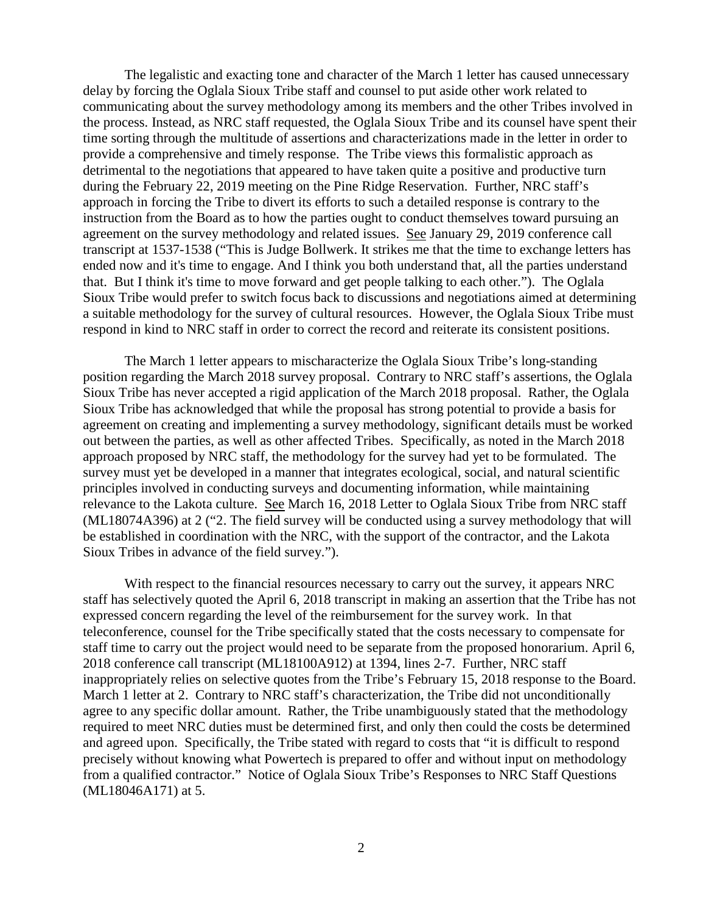The legalistic and exacting tone and character of the March 1 letter has caused unnecessary delay by forcing the Oglala Sioux Tribe staff and counsel to put aside other work related to communicating about the survey methodology among its members and the other Tribes involved in the process. Instead, as NRC staff requested, the Oglala Sioux Tribe and its counsel have spent their time sorting through the multitude of assertions and characterizations made in the letter in order to provide a comprehensive and timely response. The Tribe views this formalistic approach as detrimental to the negotiations that appeared to have taken quite a positive and productive turn during the February 22, 2019 meeting on the Pine Ridge Reservation. Further, NRC staff's approach in forcing the Tribe to divert its efforts to such a detailed response is contrary to the instruction from the Board as to how the parties ought to conduct themselves toward pursuing an agreement on the survey methodology and related issues. See January 29, 2019 conference call transcript at 1537-1538 ("This is Judge Bollwerk. It strikes me that the time to exchange letters has ended now and it's time to engage. And I think you both understand that, all the parties understand that. But I think it's time to move forward and get people talking to each other."). The Oglala Sioux Tribe would prefer to switch focus back to discussions and negotiations aimed at determining a suitable methodology for the survey of cultural resources. However, the Oglala Sioux Tribe must respond in kind to NRC staff in order to correct the record and reiterate its consistent positions.

The March 1 letter appears to mischaracterize the Oglala Sioux Tribe's long-standing position regarding the March 2018 survey proposal. Contrary to NRC staff's assertions, the Oglala Sioux Tribe has never accepted a rigid application of the March 2018 proposal. Rather, the Oglala Sioux Tribe has acknowledged that while the proposal has strong potential to provide a basis for agreement on creating and implementing a survey methodology, significant details must be worked out between the parties, as well as other affected Tribes. Specifically, as noted in the March 2018 approach proposed by NRC staff, the methodology for the survey had yet to be formulated. The survey must yet be developed in a manner that integrates ecological, social, and natural scientific principles involved in conducting surveys and documenting information, while maintaining relevance to the Lakota culture. See March 16, 2018 Letter to Oglala Sioux Tribe from NRC staff (ML18074A396) at 2 ("2. The field survey will be conducted using a survey methodology that will be established in coordination with the NRC, with the support of the contractor, and the Lakota Sioux Tribes in advance of the field survey.").

With respect to the financial resources necessary to carry out the survey, it appears NRC staff has selectively quoted the April 6, 2018 transcript in making an assertion that the Tribe has not expressed concern regarding the level of the reimbursement for the survey work. In that teleconference, counsel for the Tribe specifically stated that the costs necessary to compensate for staff time to carry out the project would need to be separate from the proposed honorarium. April 6, 2018 conference call transcript (ML18100A912) at 1394, lines 2-7. Further, NRC staff inappropriately relies on selective quotes from the Tribe's February 15, 2018 response to the Board. March 1 letter at 2. Contrary to NRC staff's characterization, the Tribe did not unconditionally agree to any specific dollar amount. Rather, the Tribe unambiguously stated that the methodology required to meet NRC duties must be determined first, and only then could the costs be determined and agreed upon. Specifically, the Tribe stated with regard to costs that "it is difficult to respond precisely without knowing what Powertech is prepared to offer and without input on methodology from a qualified contractor." Notice of Oglala Sioux Tribe's Responses to NRC Staff Questions (ML18046A171) at 5.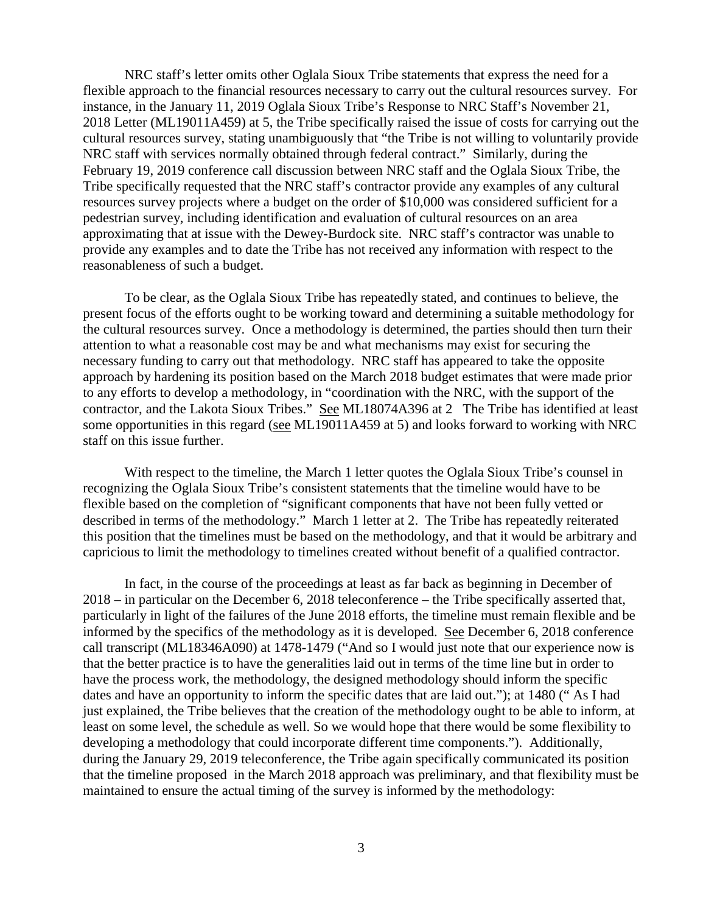NRC staff's letter omits other Oglala Sioux Tribe statements that express the need for a flexible approach to the financial resources necessary to carry out the cultural resources survey. For instance, in the January 11, 2019 Oglala Sioux Tribe's Response to NRC Staff's November 21, 2018 Letter (ML19011A459) at 5, the Tribe specifically raised the issue of costs for carrying out the cultural resources survey, stating unambiguously that "the Tribe is not willing to voluntarily provide NRC staff with services normally obtained through federal contract." Similarly, during the February 19, 2019 conference call discussion between NRC staff and the Oglala Sioux Tribe, the Tribe specifically requested that the NRC staff's contractor provide any examples of any cultural resources survey projects where a budget on the order of \$10,000 was considered sufficient for a pedestrian survey, including identification and evaluation of cultural resources on an area approximating that at issue with the Dewey-Burdock site. NRC staff's contractor was unable to provide any examples and to date the Tribe has not received any information with respect to the reasonableness of such a budget.

To be clear, as the Oglala Sioux Tribe has repeatedly stated, and continues to believe, the present focus of the efforts ought to be working toward and determining a suitable methodology for the cultural resources survey. Once a methodology is determined, the parties should then turn their attention to what a reasonable cost may be and what mechanisms may exist for securing the necessary funding to carry out that methodology. NRC staff has appeared to take the opposite approach by hardening its position based on the March 2018 budget estimates that were made prior to any efforts to develop a methodology, in "coordination with the NRC, with the support of the contractor, and the Lakota Sioux Tribes." See ML18074A396 at 2 The Tribe has identified at least some opportunities in this regard (see ML19011A459 at 5) and looks forward to working with NRC staff on this issue further.

With respect to the timeline, the March 1 letter quotes the Oglala Sioux Tribe's counsel in recognizing the Oglala Sioux Tribe's consistent statements that the timeline would have to be flexible based on the completion of "significant components that have not been fully vetted or described in terms of the methodology." March 1 letter at 2. The Tribe has repeatedly reiterated this position that the timelines must be based on the methodology, and that it would be arbitrary and capricious to limit the methodology to timelines created without benefit of a qualified contractor.

In fact, in the course of the proceedings at least as far back as beginning in December of 2018 – in particular on the December 6, 2018 teleconference – the Tribe specifically asserted that, particularly in light of the failures of the June 2018 efforts, the timeline must remain flexible and be informed by the specifics of the methodology as it is developed. See December 6, 2018 conference call transcript (ML18346A090) at 1478-1479 ("And so I would just note that our experience now is that the better practice is to have the generalities laid out in terms of the time line but in order to have the process work, the methodology, the designed methodology should inform the specific dates and have an opportunity to inform the specific dates that are laid out."); at 1480 (" As I had just explained, the Tribe believes that the creation of the methodology ought to be able to inform, at least on some level, the schedule as well. So we would hope that there would be some flexibility to developing a methodology that could incorporate different time components."). Additionally, during the January 29, 2019 teleconference, the Tribe again specifically communicated its position that the timeline proposed in the March 2018 approach was preliminary, and that flexibility must be maintained to ensure the actual timing of the survey is informed by the methodology: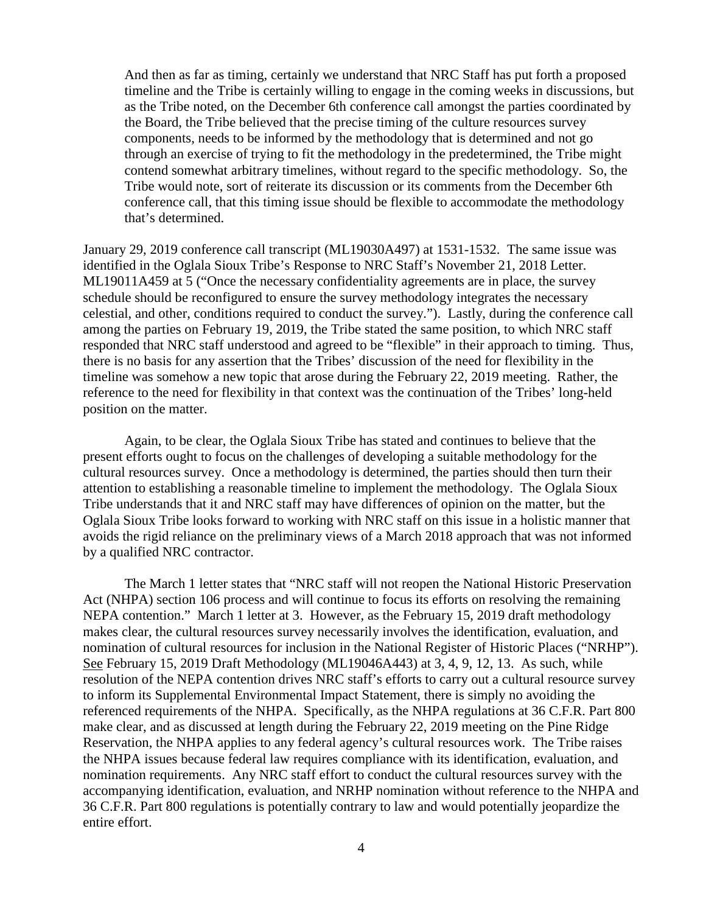And then as far as timing, certainly we understand that NRC Staff has put forth a proposed timeline and the Tribe is certainly willing to engage in the coming weeks in discussions, but as the Tribe noted, on the December 6th conference call amongst the parties coordinated by the Board, the Tribe believed that the precise timing of the culture resources survey components, needs to be informed by the methodology that is determined and not go through an exercise of trying to fit the methodology in the predetermined, the Tribe might contend somewhat arbitrary timelines, without regard to the specific methodology. So, the Tribe would note, sort of reiterate its discussion or its comments from the December 6th conference call, that this timing issue should be flexible to accommodate the methodology that's determined.

January 29, 2019 conference call transcript (ML19030A497) at 1531-1532. The same issue was identified in the Oglala Sioux Tribe's Response to NRC Staff's November 21, 2018 Letter. ML19011A459 at 5 ("Once the necessary confidentiality agreements are in place, the survey schedule should be reconfigured to ensure the survey methodology integrates the necessary celestial, and other, conditions required to conduct the survey."). Lastly, during the conference call among the parties on February 19, 2019, the Tribe stated the same position, to which NRC staff responded that NRC staff understood and agreed to be "flexible" in their approach to timing. Thus, there is no basis for any assertion that the Tribes' discussion of the need for flexibility in the timeline was somehow a new topic that arose during the February 22, 2019 meeting. Rather, the reference to the need for flexibility in that context was the continuation of the Tribes' long-held position on the matter.

Again, to be clear, the Oglala Sioux Tribe has stated and continues to believe that the present efforts ought to focus on the challenges of developing a suitable methodology for the cultural resources survey. Once a methodology is determined, the parties should then turn their attention to establishing a reasonable timeline to implement the methodology. The Oglala Sioux Tribe understands that it and NRC staff may have differences of opinion on the matter, but the Oglala Sioux Tribe looks forward to working with NRC staff on this issue in a holistic manner that avoids the rigid reliance on the preliminary views of a March 2018 approach that was not informed by a qualified NRC contractor.

The March 1 letter states that "NRC staff will not reopen the National Historic Preservation Act (NHPA) section 106 process and will continue to focus its efforts on resolving the remaining NEPA contention." March 1 letter at 3. However, as the February 15, 2019 draft methodology makes clear, the cultural resources survey necessarily involves the identification, evaluation, and nomination of cultural resources for inclusion in the National Register of Historic Places ("NRHP"). See February 15, 2019 Draft Methodology (ML19046A443) at 3, 4, 9, 12, 13. As such, while resolution of the NEPA contention drives NRC staff's efforts to carry out a cultural resource survey to inform its Supplemental Environmental Impact Statement, there is simply no avoiding the referenced requirements of the NHPA. Specifically, as the NHPA regulations at 36 C.F.R. Part 800 make clear, and as discussed at length during the February 22, 2019 meeting on the Pine Ridge Reservation, the NHPA applies to any federal agency's cultural resources work. The Tribe raises the NHPA issues because federal law requires compliance with its identification, evaluation, and nomination requirements. Any NRC staff effort to conduct the cultural resources survey with the accompanying identification, evaluation, and NRHP nomination without reference to the NHPA and 36 C.F.R. Part 800 regulations is potentially contrary to law and would potentially jeopardize the entire effort.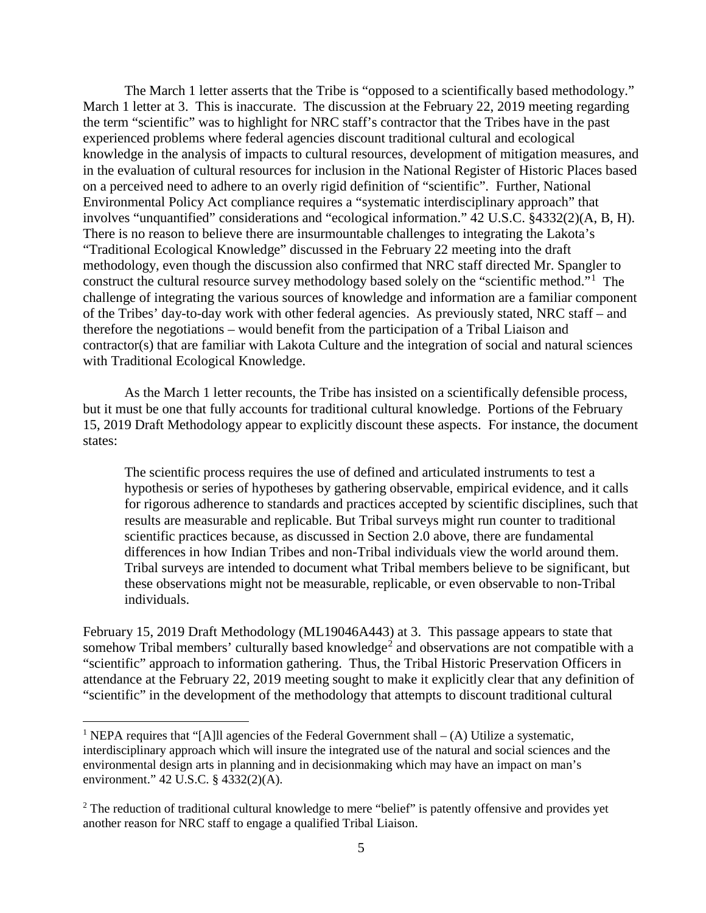The March 1 letter asserts that the Tribe is "opposed to a scientifically based methodology." March 1 letter at 3. This is inaccurate. The discussion at the February 22, 2019 meeting regarding the term "scientific" was to highlight for NRC staff's contractor that the Tribes have in the past experienced problems where federal agencies discount traditional cultural and ecological knowledge in the analysis of impacts to cultural resources, development of mitigation measures, and in the evaluation of cultural resources for inclusion in the National Register of Historic Places based on a perceived need to adhere to an overly rigid definition of "scientific". Further, National Environmental Policy Act compliance requires a "systematic interdisciplinary approach" that involves "unquantified" considerations and "ecological information." 42 U.S.C. §4332(2)(A, B, H). There is no reason to believe there are insurmountable challenges to integrating the Lakota's "Traditional Ecological Knowledge" discussed in the February 22 meeting into the draft methodology, even though the discussion also confirmed that NRC staff directed Mr. Spangler to construct the cultural resource survey methodology based solely on the "scientific method."<sup>[1](#page-4-0)</sup> The challenge of integrating the various sources of knowledge and information are a familiar component of the Tribes' day-to-day work with other federal agencies. As previously stated, NRC staff – and therefore the negotiations – would benefit from the participation of a Tribal Liaison and contractor(s) that are familiar with Lakota Culture and the integration of social and natural sciences with Traditional Ecological Knowledge.

As the March 1 letter recounts, the Tribe has insisted on a scientifically defensible process, but it must be one that fully accounts for traditional cultural knowledge. Portions of the February 15, 2019 Draft Methodology appear to explicitly discount these aspects. For instance, the document states:

The scientific process requires the use of defined and articulated instruments to test a hypothesis or series of hypotheses by gathering observable, empirical evidence, and it calls for rigorous adherence to standards and practices accepted by scientific disciplines, such that results are measurable and replicable. But Tribal surveys might run counter to traditional scientific practices because, as discussed in Section 2.0 above, there are fundamental differences in how Indian Tribes and non-Tribal individuals view the world around them. Tribal surveys are intended to document what Tribal members believe to be significant, but these observations might not be measurable, replicable, or even observable to non-Tribal individuals.

February 15, 2019 Draft Methodology (ML19046A443) at 3. This passage appears to state that somehow Tribal members' culturally based knowledge<sup>[2](#page-4-1)</sup> and observations are not compatible with a "scientific" approach to information gathering. Thus, the Tribal Historic Preservation Officers in attendance at the February 22, 2019 meeting sought to make it explicitly clear that any definition of "scientific" in the development of the methodology that attempts to discount traditional cultural

<span id="page-4-0"></span><sup>&</sup>lt;sup>1</sup> NEPA requires that "[A]ll agencies of the Federal Government shall  $-(A)$  Utilize a systematic, interdisciplinary approach which will insure the integrated use of the natural and social sciences and the environmental design arts in planning and in decisionmaking which may have an impact on man's environment." 42 U.S.C. § 4332(2)(A).

<span id="page-4-1"></span><sup>&</sup>lt;sup>2</sup> The reduction of traditional cultural knowledge to mere "belief" is patently offensive and provides yet another reason for NRC staff to engage a qualified Tribal Liaison.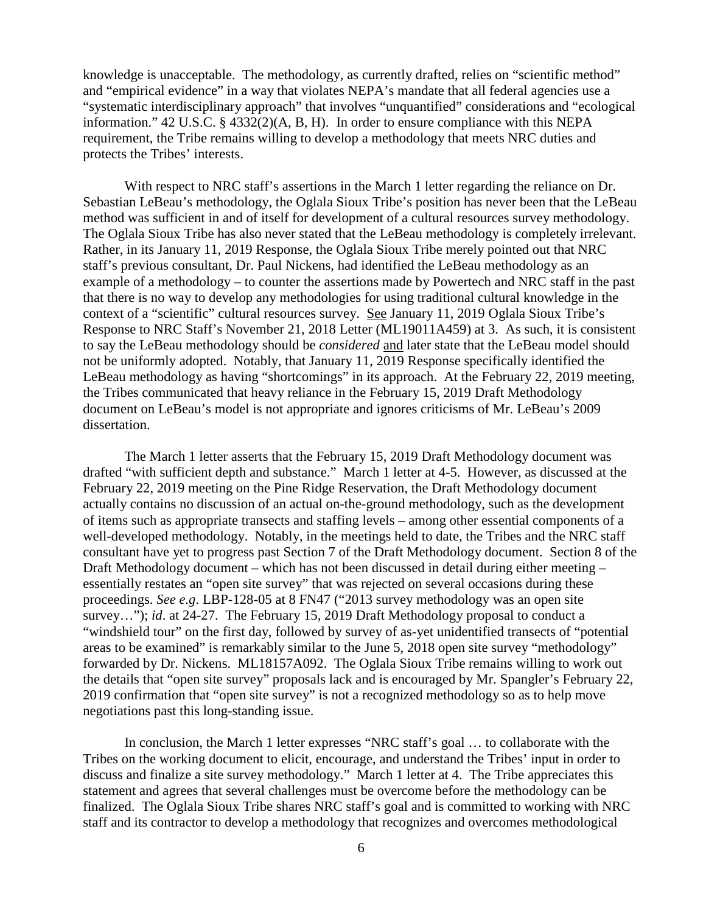knowledge is unacceptable. The methodology, as currently drafted, relies on "scientific method" and "empirical evidence" in a way that violates NEPA's mandate that all federal agencies use a "systematic interdisciplinary approach" that involves "unquantified" considerations and "ecological information." 42 U.S.C. § 4332(2)(A, B, H). In order to ensure compliance with this NEPA requirement, the Tribe remains willing to develop a methodology that meets NRC duties and protects the Tribes' interests.

With respect to NRC staff's assertions in the March 1 letter regarding the reliance on Dr. Sebastian LeBeau's methodology, the Oglala Sioux Tribe's position has never been that the LeBeau method was sufficient in and of itself for development of a cultural resources survey methodology. The Oglala Sioux Tribe has also never stated that the LeBeau methodology is completely irrelevant. Rather, in its January 11, 2019 Response, the Oglala Sioux Tribe merely pointed out that NRC staff's previous consultant, Dr. Paul Nickens, had identified the LeBeau methodology as an example of a methodology – to counter the assertions made by Powertech and NRC staff in the past that there is no way to develop any methodologies for using traditional cultural knowledge in the context of a "scientific" cultural resources survey. See January 11, 2019 Oglala Sioux Tribe's Response to NRC Staff's November 21, 2018 Letter (ML19011A459) at 3. As such, it is consistent to say the LeBeau methodology should be *considered* and later state that the LeBeau model should not be uniformly adopted. Notably, that January 11, 2019 Response specifically identified the LeBeau methodology as having "shortcomings" in its approach. At the February 22, 2019 meeting, the Tribes communicated that heavy reliance in the February 15, 2019 Draft Methodology document on LeBeau's model is not appropriate and ignores criticisms of Mr. LeBeau's 2009 dissertation.

The March 1 letter asserts that the February 15, 2019 Draft Methodology document was drafted "with sufficient depth and substance." March 1 letter at 4-5. However, as discussed at the February 22, 2019 meeting on the Pine Ridge Reservation, the Draft Methodology document actually contains no discussion of an actual on-the-ground methodology, such as the development of items such as appropriate transects and staffing levels – among other essential components of a well-developed methodology. Notably, in the meetings held to date, the Tribes and the NRC staff consultant have yet to progress past Section 7 of the Draft Methodology document. Section 8 of the Draft Methodology document – which has not been discussed in detail during either meeting – essentially restates an "open site survey" that was rejected on several occasions during these proceedings. *See e.g*. LBP-128-05 at 8 FN47 ("2013 survey methodology was an open site survey…"); *id*. at 24-27. The February 15, 2019 Draft Methodology proposal to conduct a "windshield tour" on the first day, followed by survey of as-yet unidentified transects of "potential areas to be examined" is remarkably similar to the June 5, 2018 open site survey "methodology" forwarded by Dr. Nickens. ML18157A092. The Oglala Sioux Tribe remains willing to work out the details that "open site survey" proposals lack and is encouraged by Mr. Spangler's February 22, 2019 confirmation that "open site survey" is not a recognized methodology so as to help move negotiations past this long-standing issue.

In conclusion, the March 1 letter expresses "NRC staff's goal … to collaborate with the Tribes on the working document to elicit, encourage, and understand the Tribes' input in order to discuss and finalize a site survey methodology." March 1 letter at 4. The Tribe appreciates this statement and agrees that several challenges must be overcome before the methodology can be finalized. The Oglala Sioux Tribe shares NRC staff's goal and is committed to working with NRC staff and its contractor to develop a methodology that recognizes and overcomes methodological